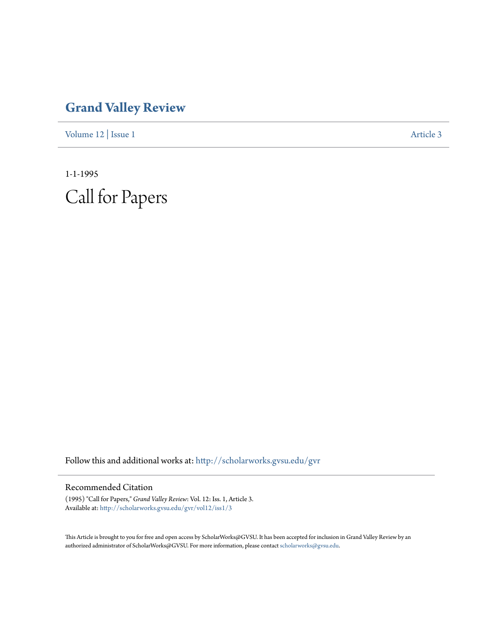## **[Grand Valley Review](http://scholarworks.gvsu.edu/gvr?utm_source=scholarworks.gvsu.edu%2Fgvr%2Fvol12%2Fiss1%2F3&utm_medium=PDF&utm_campaign=PDFCoverPages)**

[Volume 12](http://scholarworks.gvsu.edu/gvr/vol12?utm_source=scholarworks.gvsu.edu%2Fgvr%2Fvol12%2Fiss1%2F3&utm_medium=PDF&utm_campaign=PDFCoverPages) | [Issue 1](http://scholarworks.gvsu.edu/gvr/vol12/iss1?utm_source=scholarworks.gvsu.edu%2Fgvr%2Fvol12%2Fiss1%2F3&utm_medium=PDF&utm_campaign=PDFCoverPages) [Article 3](http://scholarworks.gvsu.edu/gvr/vol12/iss1/3?utm_source=scholarworks.gvsu.edu%2Fgvr%2Fvol12%2Fiss1%2F3&utm_medium=PDF&utm_campaign=PDFCoverPages)

1-1-1995 Call for Papers

Follow this and additional works at: [http://scholarworks.gvsu.edu/gvr](http://scholarworks.gvsu.edu/gvr?utm_source=scholarworks.gvsu.edu%2Fgvr%2Fvol12%2Fiss1%2F3&utm_medium=PDF&utm_campaign=PDFCoverPages)

## Recommended Citation

(1995) "Call for Papers," *Grand Valley Review*: Vol. 12: Iss. 1, Article 3. Available at: [http://scholarworks.gvsu.edu/gvr/vol12/iss1/3](http://scholarworks.gvsu.edu/gvr/vol12/iss1/3?utm_source=scholarworks.gvsu.edu%2Fgvr%2Fvol12%2Fiss1%2F3&utm_medium=PDF&utm_campaign=PDFCoverPages)

This Article is brought to you for free and open access by ScholarWorks@GVSU. It has been accepted for inclusion in Grand Valley Review by an authorized administrator of ScholarWorks@GVSU. For more information, please contact [scholarworks@gvsu.edu.](mailto:scholarworks@gvsu.edu)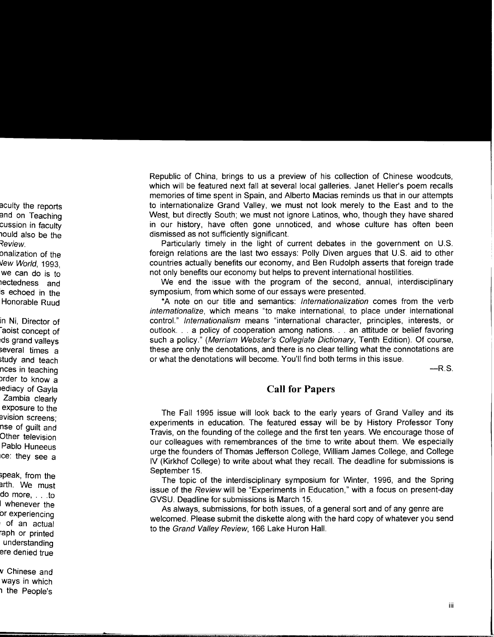Republic of China, brings to us a preview of his collection of Chinese woodcuts, which will be featured next fall at several local galleries. Janet Heller's poem recalls memories of time spent in Spain, and Alberto Macias reminds us that in our attempts to internationalize Grand Valley, we must not look merely to the East and to the West, but directly South; we must not ignore Latinos, who, though they have shared in our history, have often gone unnoticed, and whose culture has often been dismissed as not sufficiently significant.

Particularly timely in the light of current debates in the government on U.S. foreign relations are the last two essays: Polly Diven argues that U.S. aid to other countries actually benefits our economy, and Ben Rudolph asserts that foreign trade not only benefits our economy but helps to prevent international hostilities.

We end the issue with the program of the second, annual, interdisciplinary symposium, from which some of our essays were presented.

\*A note on our title and semantics: Internationalization comes from the verb internationalize, which means "to make international, to place under international control." Internationalism means "international character, principles, interests, or outlook ... a policy of cooperation among nations ... an attitude or belief favoring such a policy." (Merriam Webster's Collegiate Dictionary, Tenth Edition). Of course, these are only the denotations, and there is no clear telling what the connotations are or what the denotations will become. You'll find both terms in this issue.

 $-R.S.$ 

## **Call for Papers**

The Fall 1995 issue will look back to the early years of Grand Valley and its experiments in education. The featured essay will be by History Professor Tony Travis, on the founding of the college and the first ten years. We encourage those of our colleagues with remembrances of the time to write about them. We especially urge the founders of Thomas Jefferson College, William James College, and College IV (Kirkhof College) to write about what they recall. The deadline for submissions is September 15.

The topic of the interdisciplinary symposium for Winter, 1996, and the Spring issue of the Review will be "Experiments in Education," with a focus on present-day GVSU. Deadline for submissions is March 15.

As always, submissions, for both issues, of a general sort and of any genre are welcomed. Please submit the diskette along with the hard copy of whatever you send to the Grand Valley Review, 166 Lake Huron Hall.